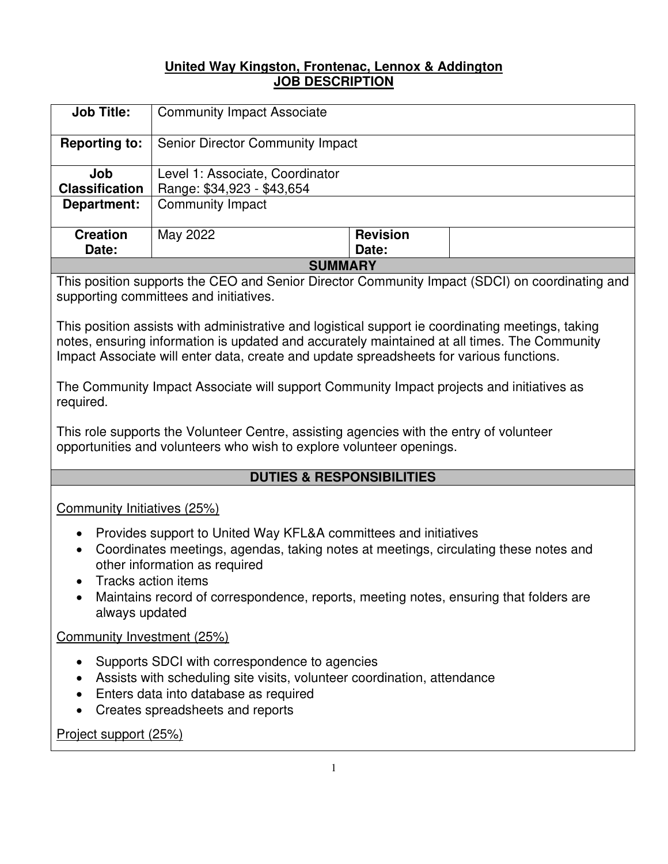#### **United Way Kingston, Frontenac, Lennox & Addington JOB DESCRIPTION**

| <b>Job Title:</b>     | <b>Community Impact Associate</b> |                 |  |
|-----------------------|-----------------------------------|-----------------|--|
| <b>Reporting to:</b>  | Senior Director Community Impact  |                 |  |
| Job                   | Level 1: Associate, Coordinator   |                 |  |
| <b>Classification</b> | Range: \$34,923 - \$43,654        |                 |  |
| Department:           | <b>Community Impact</b>           |                 |  |
| <b>Creation</b>       | May 2022                          | <b>Revision</b> |  |
| Date:                 |                                   | Date:           |  |
| <b>SUMMARY</b>        |                                   |                 |  |

This position supports the CEO and Senior Director Community Impact (SDCI) on coordinating and supporting committees and initiatives.

This position assists with administrative and logistical support ie coordinating meetings, taking notes, ensuring information is updated and accurately maintained at all times. The Community Impact Associate will enter data, create and update spreadsheets for various functions.

The Community Impact Associate will support Community Impact projects and initiatives as required.

This role supports the Volunteer Centre, assisting agencies with the entry of volunteer opportunities and volunteers who wish to explore volunteer openings.

# **DUTIES & RESPONSIBILITIES**

Community Initiatives (25%)

- Provides support to United Way KFL&A committees and initiatives
- Coordinates meetings, agendas, taking notes at meetings, circulating these notes and other information as required
- Tracks action items
- Maintains record of correspondence, reports, meeting notes, ensuring that folders are always updated

Community Investment (25%)

- Supports SDCI with correspondence to agencies
- Assists with scheduling site visits, volunteer coordination, attendance
- Enters data into database as required
- Creates spreadsheets and reports

Project support (25%)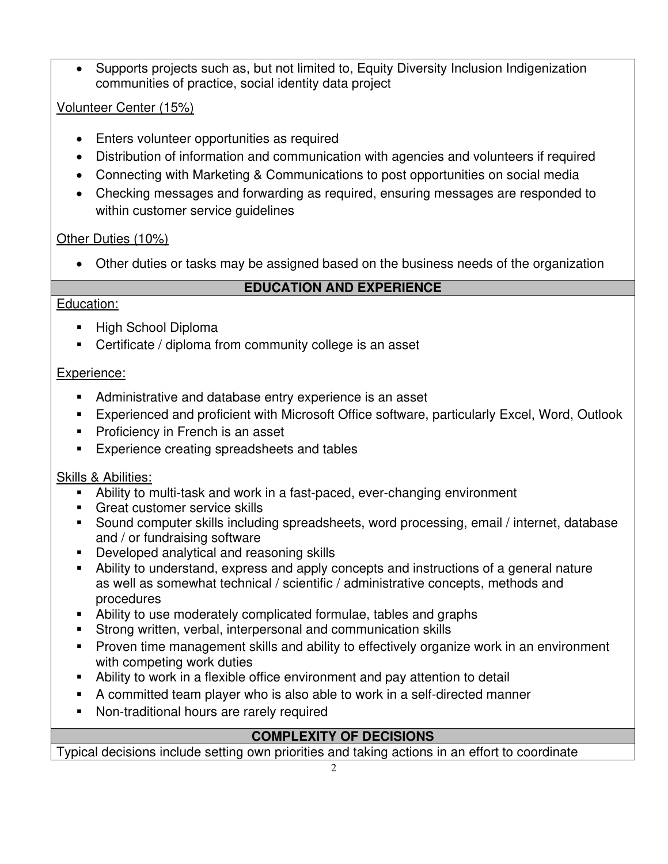• Supports projects such as, but not limited to, Equity Diversity Inclusion Indigenization communities of practice, social identity data project

# Volunteer Center (15%)

- Enters volunteer opportunities as required
- Distribution of information and communication with agencies and volunteers if required
- Connecting with Marketing & Communications to post opportunities on social media
- Checking messages and forwarding as required, ensuring messages are responded to within customer service guidelines

# Other Duties (10%)

• Other duties or tasks may be assigned based on the business needs of the organization

# **EDUCATION AND EXPERIENCE**

#### Education:

- High School Diploma
- Certificate / diploma from community college is an asset

# Experience:

- Administrative and database entry experience is an asset
- Experienced and proficient with Microsoft Office software, particularly Excel, Word, Outlook
- Proficiency in French is an asset
- **Experience creating spreadsheets and tables**

# Skills & Abilities:

- Ability to multi-task and work in a fast-paced, ever-changing environment
- **EXEC** Great customer service skills
- Sound computer skills including spreadsheets, word processing, email / internet, database and / or fundraising software
- Developed analytical and reasoning skills
- Ability to understand, express and apply concepts and instructions of a general nature as well as somewhat technical / scientific / administrative concepts, methods and procedures
- Ability to use moderately complicated formulae, tables and graphs
- **EXTERN** Strong written, verbal, interpersonal and communication skills
- Proven time management skills and ability to effectively organize work in an environment with competing work duties
- Ability to work in a flexible office environment and pay attention to detail
- A committed team player who is also able to work in a self-directed manner
- Non-traditional hours are rarely required

# **COMPLEXITY OF DECISIONS**

Typical decisions include setting own priorities and taking actions in an effort to coordinate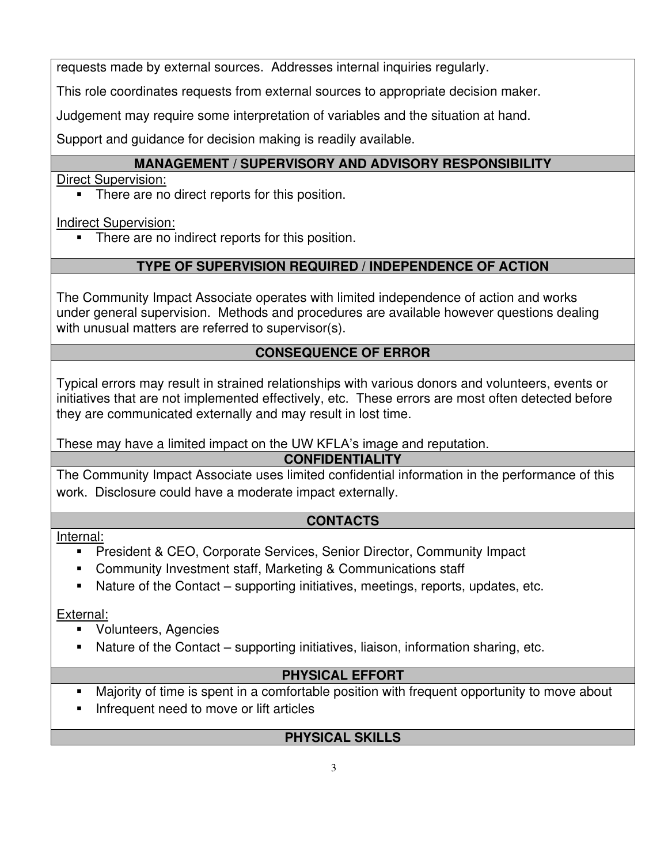requests made by external sources. Addresses internal inquiries regularly.

This role coordinates requests from external sources to appropriate decision maker.

Judgement may require some interpretation of variables and the situation at hand.

Support and guidance for decision making is readily available.

# **MANAGEMENT / SUPERVISORY AND ADVISORY RESPONSIBILITY**

Direct Supervision:

There are no direct reports for this position.

Indirect Supervision:

There are no indirect reports for this position.

# **TYPE OF SUPERVISION REQUIRED / INDEPENDENCE OF ACTION**

The Community Impact Associate operates with limited independence of action and works under general supervision. Methods and procedures are available however questions dealing with unusual matters are referred to supervisor(s).

# **CONSEQUENCE OF ERROR**

Typical errors may result in strained relationships with various donors and volunteers, events or initiatives that are not implemented effectively, etc. These errors are most often detected before they are communicated externally and may result in lost time.

These may have a limited impact on the UW KFLA's image and reputation.

# **CONFIDENTIALITY**

The Community Impact Associate uses limited confidential information in the performance of this work. Disclosure could have a moderate impact externally.

# **CONTACTS**

Internal:

- President & CEO, Corporate Services, Senior Director, Community Impact
- Community Investment staff, Marketing & Communications staff
- Nature of the Contact supporting initiatives, meetings, reports, updates, etc.

External:

- Volunteers, Agencies
- Nature of the Contact supporting initiatives, liaison, information sharing, etc.

# **PHYSICAL EFFORT**

- Majority of time is spent in a comfortable position with frequent opportunity to move about
- Infrequent need to move or lift articles

# **PHYSICAL SKILLS**